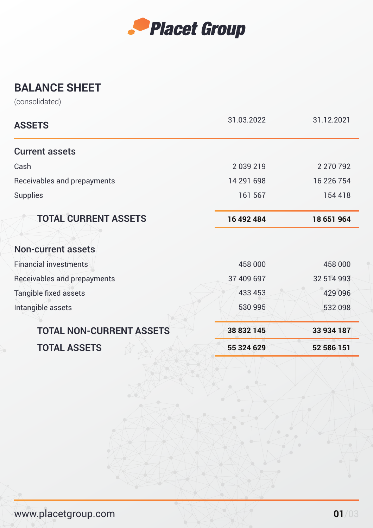

## **BALANCE SHEET**

(consolidated)

| <b>ASSETS</b>                   | 31.03.2022 | 31.12.2021 |
|---------------------------------|------------|------------|
| <b>Current assets</b>           |            |            |
| Cash                            | 2039219    | 2 270 792  |
| Receivables and prepayments     | 14 291 698 | 16 226 754 |
| <b>Supplies</b>                 | 161 567    | 154 418    |
| <b>TOTAL CURRENT ASSETS</b>     | 16 492 484 | 18 651 964 |
|                                 |            |            |
| <b>Non-current assets</b>       |            |            |
| <b>Financial investments</b>    | 458 000    | 458 000    |
| Receivables and prepayments     | 37 409 697 | 32 514 993 |
| <b>Tangible fixed assets</b>    | 433 453    | 429 096    |
| Intangible assets               | 530 995    | 532 098    |
| <b>TOTAL NON-CURRENT ASSETS</b> | 38 832 145 | 33 934 187 |
| <b>TOTAL ASSETS</b>             | 55 324 629 | 52 586 151 |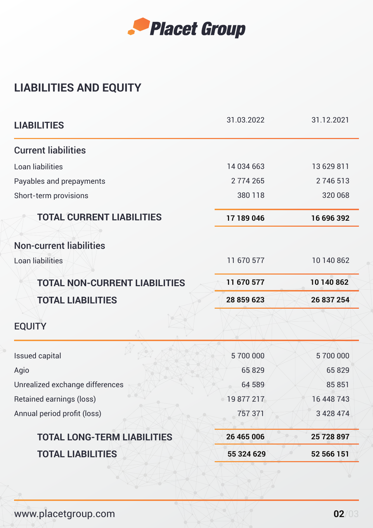

## **LIABILITIES AND EQUITY**

| <b>LIABILITIES</b>                   | 31.03.2022 | 31.12.2021    |
|--------------------------------------|------------|---------------|
| <b>Current liabilities</b>           |            |               |
| Loan liabilities                     | 14 034 663 | 13 629 811    |
| Payables and prepayments             | 2774265    | 2746513       |
| Short-term provisions                | 380 118    | 320 068       |
| <b>TOTAL CURRENT LIABILITIES</b>     | 17 189 046 | 16 696 392    |
| <b>Non-current liabilities</b>       |            |               |
| Loan liabilities                     | 11 670 577 | 10 140 862    |
| <b>TOTAL NON-CURRENT LIABILITIES</b> | 11 670 577 | 10 140 862    |
| <b>TOTAL LIABILITIES</b>             | 28 859 623 | 26 837 254    |
| <b>EQUITY</b>                        |            |               |
| <b>Issued capital</b>                | 5700000    | 5700000       |
| Agio                                 | 65829      | 65829         |
| Unrealized exchange differences      | 64 589     | 85 851        |
| Retained earnings (loss)             | 49 877 217 | 16 448 743    |
| Annual period profit (loss)          | 757 371    | 3 4 2 8 4 7 4 |
| <b>TOTAL LONG-TERM LIABILITIES</b>   | 26 465 006 | 25 728 897    |
| <b>TOTAL LIABILITIES</b>             | 55 324 629 | 52 566 151    |